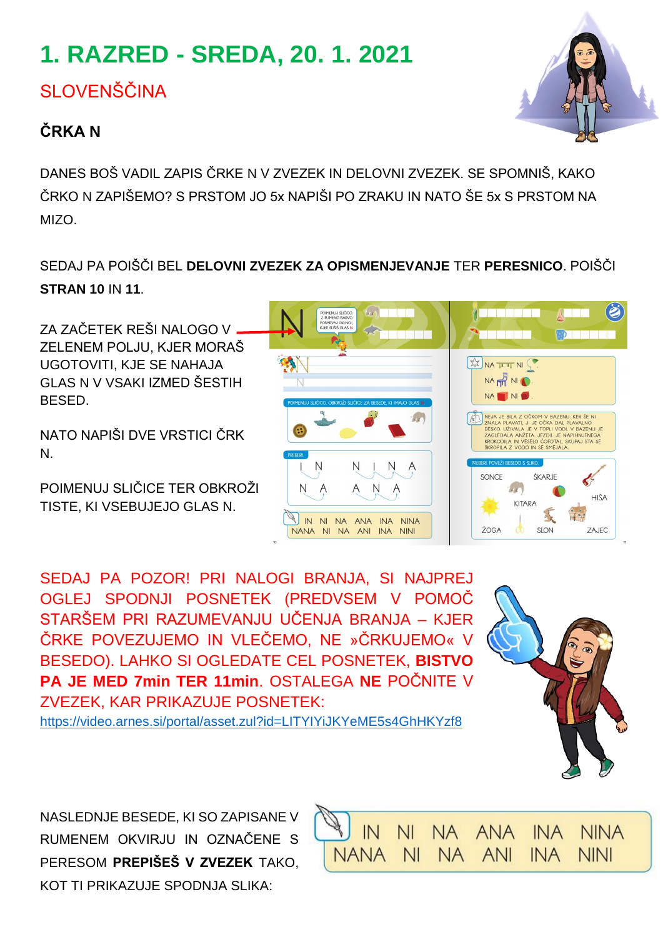# **1. RAZRED - SREDA, 20. 1. 2021**

SLOVENŠČINA

### **ČRKA N**

DANES BOŠ VADIL ZAPIS ČRKE N V ZVEZEK IN DELOVNI ZVEZEK. SE SPOMNIŠ, KAKO ČRKO N ZAPIŠEMO? S PRSTOM JO 5x NAPIŠI PO ZRAKU IN NATO ŠE 5x S PRSTOM NA MIZO.

SEDAJ PA POIŠČI BEL **DELOVNI ZVEZEK ZA OPISMENJEVANJE** TER **PERESNICO**. POIŠČI **STRAN 10** IN **11**.

ZA ZAČETEK REŠI NALOGO V ZELENEM POLJU, KJER MORAŠ UGOTOVITI, KJE SE NAHAJA GLAS N V VSAKI IZMED ŠESTIH **BESED.** 

NATO NAPIŠI DVE VRSTICI ČRK N.

POIMENUJ SLIČICE TER OBKROŽI TISTE, KI VSEBUJEJO GLAS N.

SEDAJ PA POZOR! PRI NALOGI BRANJA, SI NAJPREJ OGLEJ SPODNJI POSNETEK (PREDVSEM V POMOČ STARŠEM PRI RAZUMEVANJU UČENJA BRANJA – KJER ČRKE POVEZUJEMO IN VLEČEMO, NE »ČRKUJEMO« V BESEDO). LAHKO SI OGLEDATE CEL POSNETEK, **BISTVO PA JE MED 7min TER 11min**. OSTALEGA **NE** POČNITE V ZVEZEK, KAR PRIKAZUJE POSNETEK:

<https://video.arnes.si/portal/asset.zul?id=LITYIYiJKYeME5s4GhHKYzf8>









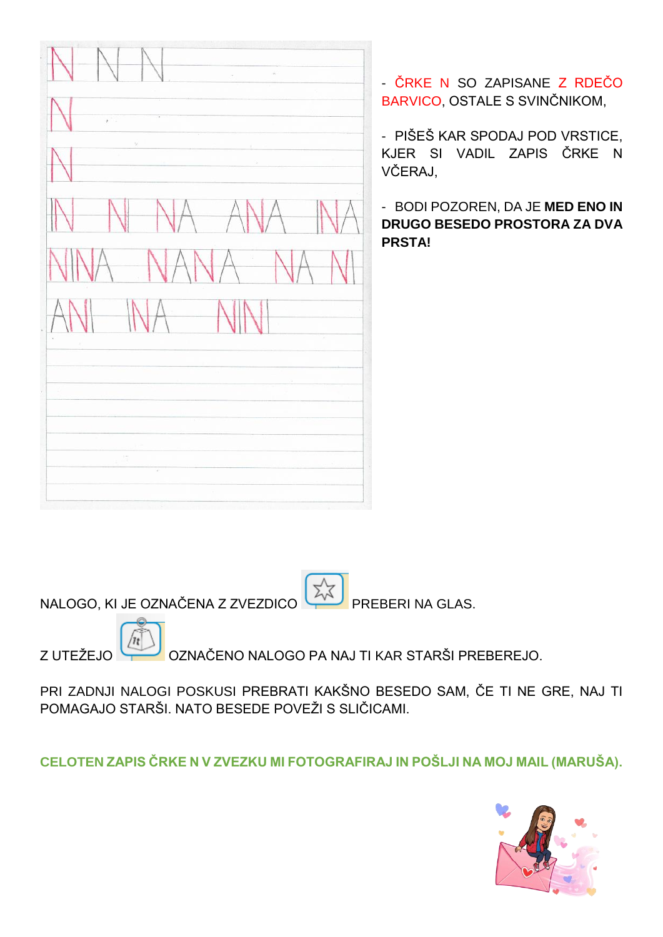$\tilde{\alpha}$ 

- ČRKE N SO ZAPISANE Z RDEČO BARVICO, OSTALE S SVINČNIKOM,

- PIŠEŠ KAR SPODAJ POD VRSTICE, KJER SI VADIL ZAPIS ČRKE N VČERAJ,

- BODI POZOREN, DA JE **MED ENO IN DRUGO BESEDO PROSTORA ZA DVA PRSTA!**

NALOGO, KI JE OZNAČENA Z ZVEZDICO PREBERI NA GLAS.

Z UTEŽEJO OZNAČENO NALOGO PA NAJ TI KAR STARŠI PREBEREJO.

PRI ZADNJI NALOGI POSKUSI PREBRATI KAKŠNO BESEDO SAM, ČE TI NE GRE, NAJ TI POMAGAJO STARŠI. NATO BESEDE POVEŽI S SLIČICAMI.

**CELOTEN ZAPIS ČRKE N V ZVEZKU MI FOTOGRAFIRAJ IN POŠLJI NA MOJ MAIL (MARUŠA).**

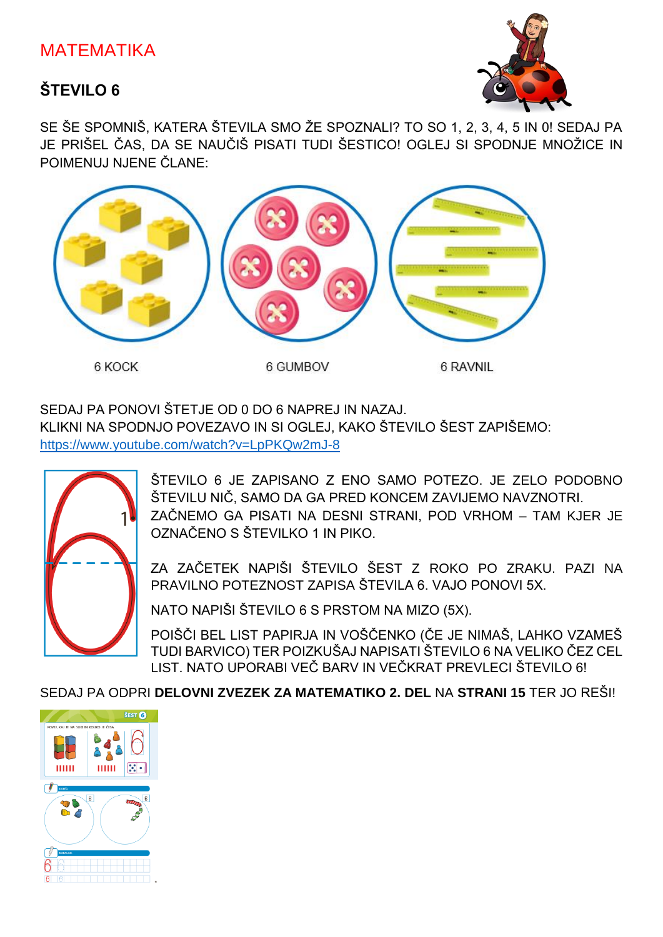### MATEMATIKA

### **ŠTEVILO 6**



SE ŠE SPOMNIŠ, KATERA ŠTEVILA SMO ŽE SPOZNALI? TO SO 1, 2, 3, 4, 5 IN 0! SEDAJ PA JE PRIŠEL ČAS, DA SE NAUČIŠ PISATI TUDI ŠESTICO! OGLEJ SI SPODNJE MNOŽICE IN POIMENUJ NJENE ČLANE:



#### SEDAJ PA PONOVI ŠTETJE OD 0 DO 6 NAPREJ IN NAZAJ.

KLIKNI NA SPODNJO POVEZAVO IN SI OGLEJ, KAKO ŠTEVILO ŠEST ZAPIŠEMO: <https://www.youtube.com/watch?v=LpPKQw2mJ-8>



ŠTEVILO 6 JE ZAPISANO Z ENO SAMO POTEZO. JE ZELO PODOBNO ŠTEVILU NIČ, SAMO DA GA PRED KONCEM ZAVIJEMO NAVZNOTRI. ZAČNEMO GA PISATI NA DESNI STRANI, POD VRHOM – TAM KJER JE OZNAČENO S ŠTEVILKO 1 IN PIKO.

ZA ZAČETEK NAPIŠI ŠTEVILO ŠEST Z ROKO PO ZRAKU. PAZI NA PRAVILNO POTEZNOST ZAPISA ŠTEVILA 6. VAJO PONOVI 5X.

NATO NAPIŠI ŠTEVILO 6 S PRSTOM NA MIZO (5X).

POIŠČI BEL LIST PAPIRJA IN VOŠČENKO (ČE JE NIMAŠ, LAHKO VZAMEŠ TUDI BARVICO) TER POIZKUŠAJ NAPISATI ŠTEVILO 6 NA VELIKO ČEZ CEL LIST. NATO UPORABI VEČ BARV IN VEČKRAT PREVLECI ŠTEVILO 6!

SEDAJ PA ODPRI **DELOVNI ZVEZEK ZA MATEMATIKO 2. DEL** NA **STRANI 15** TER JO REŠI!

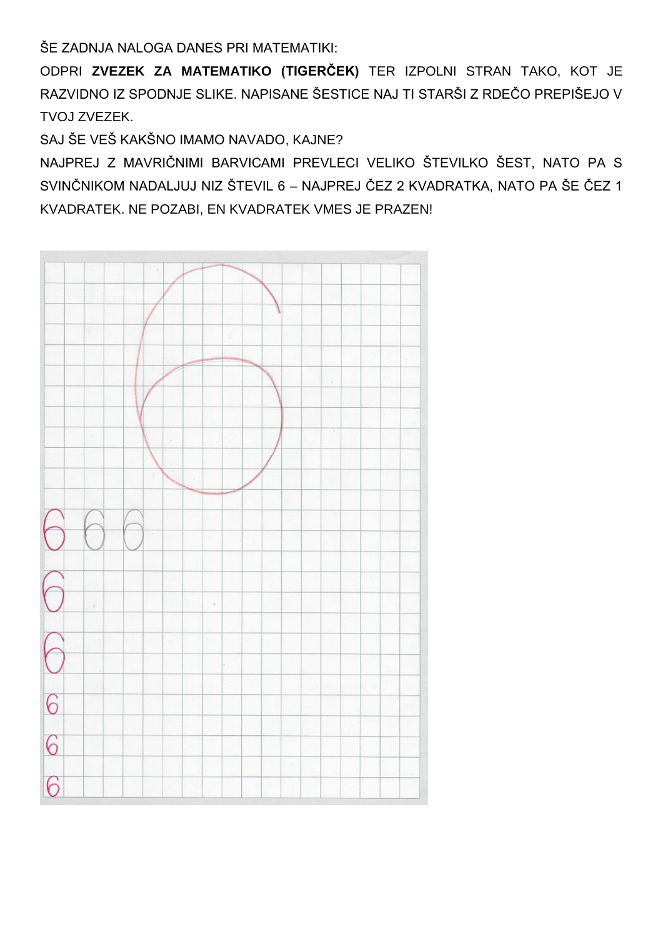ŠE ZADNJA NALOGA DANES PRI MATEMATIKI:

ODPRI ZVEZEK ZA MATEMATIKO (TIGERČEK) TER IZPOLNI STRAN TAKO, KOT JE RAZVIDNO IZ SPODNJE SLIKE, NAPISANE ŠESTICE NAJ TI STARŠI Z RDEČO PREPIŠEJO V TVOJ ZVEZEK.

SAJ ŠE VEŠ KAKŠNO IMAMO NAVADO, KAJNE?

NAJPREJ Z MAVRIČNIMI BARVICAMI PREVLECI VELIKO ŠTEVILKO ŠEST, NATO PA S SVINČNIKOM NADALJUJ NIZ ŠTEVIL 6 - NAJPREJ ČEZ 2 KVADRATKA, NATO PA ŠE ČEZ 1 KVADRATEK, NE POZABI, EN KVADRATEK VMES JE PRAZEN!

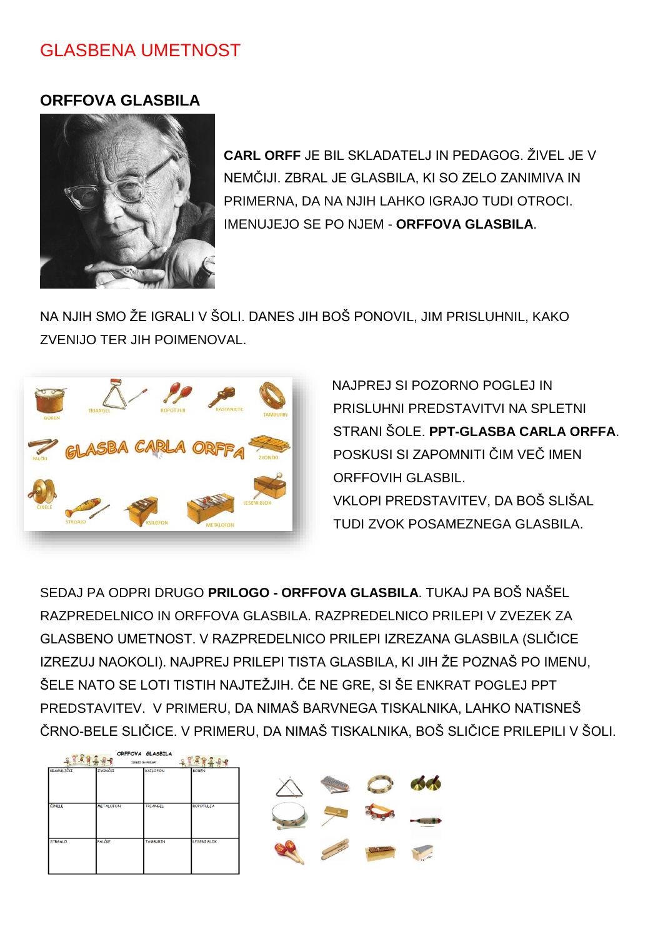### **GLASBENA UMETNOST**

#### **ORFFOVA GLASBILA**



CARL ORFF JF BIL SKI ADATFLJ IN PFDAGOG ŽIVFLJF V NEMČIJI. ZBRAL JE GLASBILA. KI SO ZELO ZANIMIVA IN PRIMERNA, DA NA NJIH LAHKO IGRAJO TUDI OTROCI. IMENUJEJO SE PO NJEM - ORFFOVA GLASBILA.

NA NJIH SMO ŽE IGRALI V ŠOLI. DANES JIH BOŠ PONOVIL. JIM PRISLUHNIL. KAKO ZVENIJO TER JIH POIMENOVAL.



NAJPREJ SI POZORNO POGLEJ IN PRISLUHNI PREDSTAVITVI NA SPLETNI STRANI ŠOLE. PPT-GLASBA CARLA ORFFA. POSKUSI SI ZAPOMNITI ČIM VEČ IMEN **ORFFOVIH GLASBIL.** VKLOPI PREDSTAVITEV. DA BOŠ SLIŠAL TUDI ZVOK POSAMEZNEGA GLASBILA.

SEDAJ PA ODPRI DRUGO PRILOGO - ORFFOVA GLASBILA. TUKAJ PA BOŠ NAŠFI RAZPREDELNICO IN OREFOVA GLASBILA, RAZPREDELNICO PRILEPLV ZVEZEK ZA GLASBENO UMETNOST. V RAZPREDELNICO PRILEPI IZREZANA GLASBILA (SLIČICE IZREZUJ NAOKOLI). NAJPREJ PRILEPI TISTA GLASBILA, KI JIH ŽE POZNAŠ PO IMENU, ŠELE NATO SE LOTI TISTIH NAJTEŽJIH. ČE NE GRE. SI ŠE ENKRAT POGLEJ PPT PREDSTAVITEV. V PRIMERU, DA NIMAŠ BARVNEGA TISKALNIKA, LAHKO NATISNEŠ ČRNO-BELE SLIČICE. V PRIMERU, DA NIMAŠ TISKALNIKA, BOŠ SLIČICE PRILEPILI V ŠOLI.